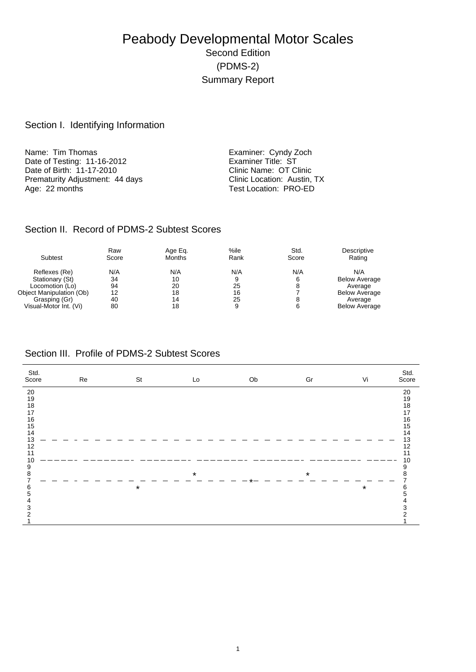# Peabody Developmental Motor Scales Second Edition (PDMS-2) Summary Report

### Section I. Identifying Information

Name: Tim Thomas<br>
Date of Testing: 11-16-2012<br>
Examiner Title: ST Date of Testing: 11-16-2012<br>
Date of Birth: 11-17-2010<br>
Clinic Name: OT Clinic Date of Birth: 11-17-2010<br>
Prematurity Adjustment: 44 days<br>
Clinic Location: Austin, TX Prematurity Adjustment: 44 days<br>Age: 22 months

Test Location: PRO-ED

#### Section II. Record of PDMS-2 Subtest Scores

|                          | Raw   | Age Eg. | %ile | Std.  | Descriptive          |
|--------------------------|-------|---------|------|-------|----------------------|
| Subtest                  | Score | Months  | Rank | Score | Rating               |
| Reflexes (Re)            | N/A   | N/A     | N/A  | N/A   | N/A                  |
| Stationary (St)          | 34    | 10      | 9    | 6     | <b>Below Average</b> |
| Locomotion (Lo)          | 94    | 20      | 25   |       | Average              |
| Object Manipulation (Ob) | 12    | 18      | 16   |       | <b>Below Average</b> |
| Grasping (Gr)            | 40    | 14      | 25   |       | Average              |
| Visual-Motor Int. (Vi)   | 80    | 18      |      |       | <b>Below Average</b> |

#### Section III. Profile of PDMS-2 Subtest Scores

| Std.<br>Score          | Re | St      | Lo      | Ob | Gr      | Vi      | Std.<br>Score  |
|------------------------|----|---------|---------|----|---------|---------|----------------|
| 20                     |    |         |         |    |         |         | 20             |
| $19$                   |    |         |         |    |         |         | 19             |
| $18\,$                 |    |         |         |    |         |         | 18             |
| 17                     |    |         |         |    |         |         | 17             |
| $16\,$                 |    |         |         |    |         |         | $16\,$         |
| 15                     |    |         |         |    |         |         | 15             |
| 14                     |    |         |         |    |         |         | 14             |
| 13                     |    |         |         |    |         |         | 13             |
| 12                     |    |         |         |    |         |         | 12             |
| 11                     |    |         |         |    |         |         | 11<br>10       |
| 10<br>$\boldsymbol{9}$ |    |         |         |    |         |         |                |
| $\bf 8$                |    |         | $\star$ |    | $\star$ |         | 9<br>8         |
| $\overline{7}$         |    |         |         |    |         |         | $\overline{7}$ |
| 6                      |    | $\star$ |         |    |         | $\star$ | 6              |
| 5                      |    |         |         |    |         |         | 5              |
| 4                      |    |         |         |    |         |         | 4              |
| 3                      |    |         |         |    |         |         | 3              |
| 2                      |    |         |         |    |         |         | 2              |
|                        |    |         |         |    |         |         |                |